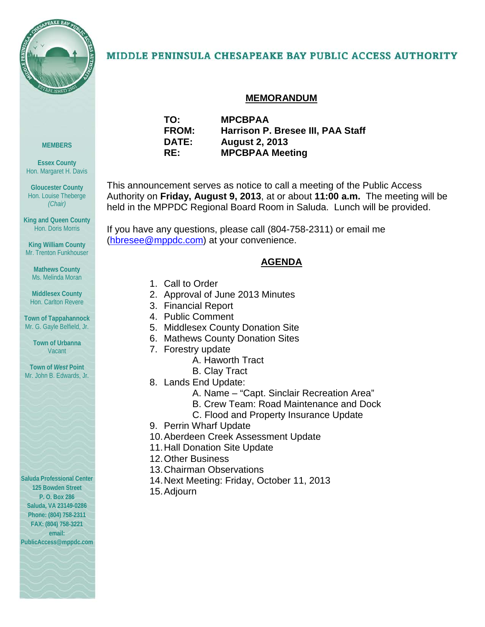

## MIDDLE PENINSULA CHESAPEAKE BAY PUBLIC ACCESS AUTHORITY

## **MEMORANDUM**

**TO: MPCBPAA FROM: Harrison P. Bresee III, PAA Staff DATE: August 2, 2013 RE: MPCBPAA Meeting**

This announcement serves as notice to call a meeting of the Public Access Authority on **Friday, August 9, 2013**, at or about **11:00 a.m.** The meeting will be held in the MPPDC Regional Board Room in Saluda. Lunch will be provided.

If you have any questions, please call (804-758-2311) or email me [\(hbresee@mppdc.com\)](mailto:hbresee@mppdc.com) at your convenience.

## **AGENDA**

- 1. Call to Order
- 2. Approval of June 2013 Minutes
- 3. Financial Report
- 4. Public Comment
- 5. Middlesex County Donation Site
- 6. Mathews County Donation Sites
- 7. Forestry update
	- A. Haworth Tract
	- B. Clay Tract
- 8. Lands End Update:
	- A. Name "Capt. Sinclair Recreation Area"
	- B. Crew Team: Road Maintenance and Dock
	- C. Flood and Property Insurance Update
- 9. Perrin Wharf Update
- 10.Aberdeen Creek Assessment Update
- 11.Hall Donation Site Update
- 12.Other Business
- 13.Chairman Observations
- 14.Next Meeting: Friday, October 11, 2013
- 15.Adjourn

**MEMBERS**

**Essex County** Hon. Margaret H. Davis

**Gloucester County** Hon. Louise Theberge *(Chair)*

**King and Queen County** Hon. Doris Morris

**King William County** Mr. Trenton Funkhouser

**Mathews County** Ms. Melinda Moran

**Middlesex County** Hon. Carlton Revere

**Town of Tappahannock** Mr. G. Gayle Belfield, Jr.

> **Town of Urbanna** Vacant

**Town of** *West* **Point** Mr. John B. Edwards, Jr.

**Saluda Professional Center 125 Bowden Street P. O. Box 286 Saluda, VA 23149-0286 Phone: (804) 758-2311 FAX: (804) 758-3221 email:** 

**PublicAccess@mppdc.com**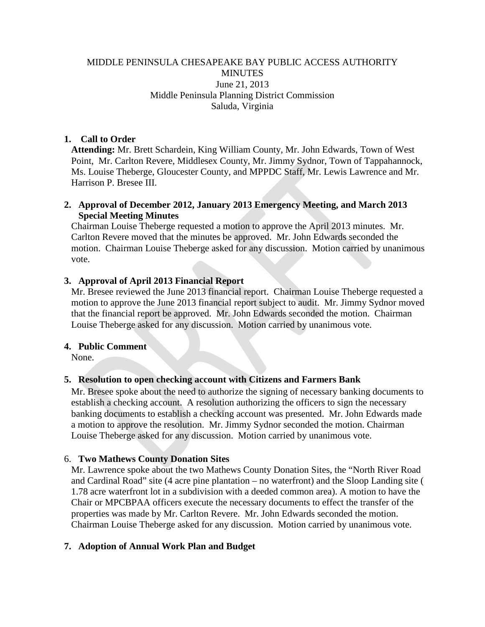## MIDDLE PENINSULA CHESAPEAKE BAY PUBLIC ACCESS AUTHORITY **MINUTES** June 21, 2013 Middle Peninsula Planning District Commission Saluda, Virginia

## **1. Call to Order**

**Attending:** Mr. Brett Schardein, King William County, Mr. John Edwards, Town of West Point, Mr. Carlton Revere, Middlesex County, Mr. Jimmy Sydnor, Town of Tappahannock, Ms. Louise Theberge, Gloucester County, and MPPDC Staff, Mr. Lewis Lawrence and Mr. Harrison P. Bresee III.

## **2. Approval of December 2012, January 2013 Emergency Meeting, and March 2013 Special Meeting Minutes**

Chairman Louise Theberge requested a motion to approve the April 2013 minutes. Mr. Carlton Revere moved that the minutes be approved. Mr. John Edwards seconded the motion. Chairman Louise Theberge asked for any discussion. Motion carried by unanimous vote.

## **3. Approval of April 2013 Financial Report**

Mr. Bresee reviewed the June 2013 financial report. Chairman Louise Theberge requested a motion to approve the June 2013 financial report subject to audit. Mr. Jimmy Sydnor moved that the financial report be approved. Mr. John Edwards seconded the motion. Chairman Louise Theberge asked for any discussion. Motion carried by unanimous vote.

## **4. Public Comment**

None.

## **5. Resolution to open checking account with Citizens and Farmers Bank**

Mr. Bresee spoke about the need to authorize the signing of necessary banking documents to establish a checking account. A resolution authorizing the officers to sign the necessary banking documents to establish a checking account was presented. Mr. John Edwards made a motion to approve the resolution. Mr. Jimmy Sydnor seconded the motion. Chairman Louise Theberge asked for any discussion. Motion carried by unanimous vote.

## 6. **Two Mathews County Donation Sites**

Mr. Lawrence spoke about the two Mathews County Donation Sites, the "North River Road and Cardinal Road" site (4 acre pine plantation – no waterfront) and the Sloop Landing site ( 1.78 acre waterfront lot in a subdivision with a deeded common area). A motion to have the Chair or MPCBPAA officers execute the necessary documents to effect the transfer of the properties was made by Mr. Carlton Revere. Mr. John Edwards seconded the motion. Chairman Louise Theberge asked for any discussion. Motion carried by unanimous vote.

## **7. Adoption of Annual Work Plan and Budget**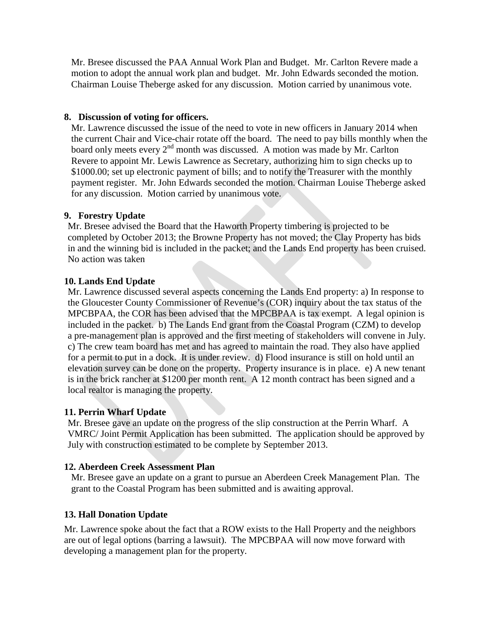Mr. Bresee discussed the PAA Annual Work Plan and Budget. Mr. Carlton Revere made a motion to adopt the annual work plan and budget. Mr. John Edwards seconded the motion. Chairman Louise Theberge asked for any discussion. Motion carried by unanimous vote.

## **8. Discussion of voting for officers.**

Mr. Lawrence discussed the issue of the need to vote in new officers in January 2014 when the current Chair and Vice-chair rotate off the board. The need to pay bills monthly when the board only meets every  $2<sup>nd</sup>$  month was discussed. A motion was made by Mr. Carlton Revere to appoint Mr. Lewis Lawrence as Secretary, authorizing him to sign checks up to \$1000.00; set up electronic payment of bills; and to notify the Treasurer with the monthly payment register. Mr. John Edwards seconded the motion. Chairman Louise Theberge asked for any discussion. Motion carried by unanimous vote.

## **9. Forestry Update**

Mr. Bresee advised the Board that the Haworth Property timbering is projected to be completed by October 2013; the Browne Property has not moved; the Clay Property has bids in and the winning bid is included in the packet; and the Lands End property has been cruised. No action was taken

## **10. Lands End Update**

Mr. Lawrence discussed several aspects concerning the Lands End property: a) In response to the Gloucester County Commissioner of Revenue's (COR) inquiry about the tax status of the MPCBPAA, the COR has been advised that the MPCBPAA is tax exempt. A legal opinion is included in the packet. b) The Lands End grant from the Coastal Program (CZM) to develop a pre-management plan is approved and the first meeting of stakeholders will convene in July. c) The crew team board has met and has agreed to maintain the road. They also have applied for a permit to put in a dock. It is under review. d) Flood insurance is still on hold until an elevation survey can be done on the property. Property insurance is in place. e) A new tenant is in the brick rancher at \$1200 per month rent. A 12 month contract has been signed and a local realtor is managing the property.

## **11. Perrin Wharf Update**

Mr. Bresee gave an update on the progress of the slip construction at the Perrin Wharf. A VMRC/ Joint Permit Application has been submitted. The application should be approved by July with construction estimated to be complete by September 2013.

## **12. Aberdeen Creek Assessment Plan**

Mr. Bresee gave an update on a grant to pursue an Aberdeen Creek Management Plan. The grant to the Coastal Program has been submitted and is awaiting approval.

## **13. Hall Donation Update**

Mr. Lawrence spoke about the fact that a ROW exists to the Hall Property and the neighbors are out of legal options (barring a lawsuit). The MPCBPAA will now move forward with developing a management plan for the property.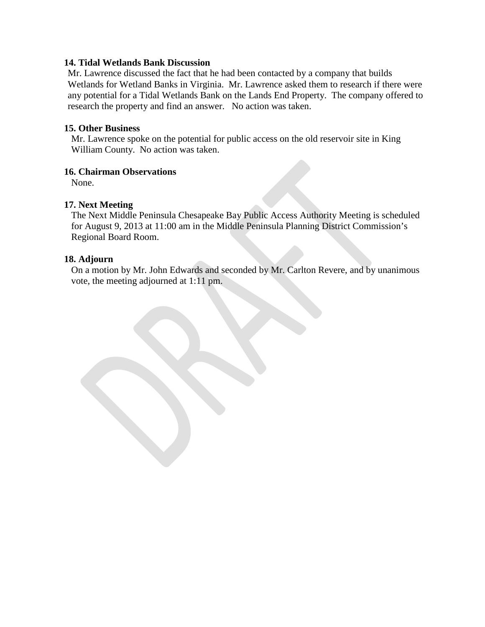#### **14. Tidal Wetlands Bank Discussion**

Mr. Lawrence discussed the fact that he had been contacted by a company that builds Wetlands for Wetland Banks in Virginia. Mr. Lawrence asked them to research if there were any potential for a Tidal Wetlands Bank on the Lands End Property. The company offered to research the property and find an answer. No action was taken.

#### **15. Other Business**

Mr. Lawrence spoke on the potential for public access on the old reservoir site in King William County. No action was taken.

## **16. Chairman Observations**

None.

## **17. Next Meeting**

The Next Middle Peninsula Chesapeake Bay Public Access Authority Meeting is scheduled for August 9, 2013 at 11:00 am in the Middle Peninsula Planning District Commission's Regional Board Room.

#### **18. Adjourn**

On a motion by Mr. John Edwards and seconded by Mr. Carlton Revere, and by unanimous vote, the meeting adjourned at 1:11 pm.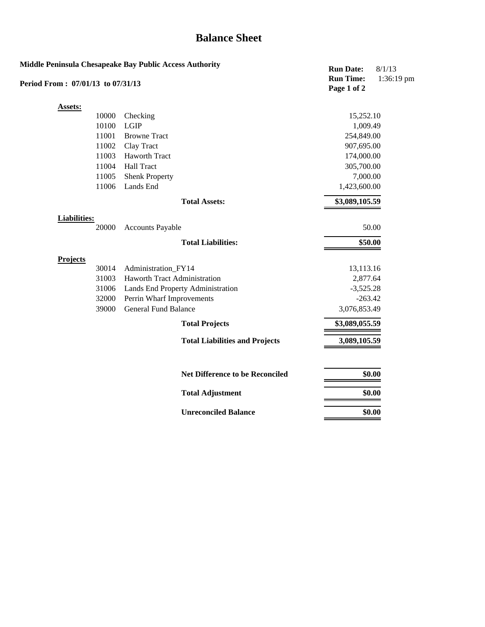## **Balance Sheet**

|                                   |       | Middle Peninsula Chesapeake Bay Public Access Authority | <b>Run Date:</b>                | 8/1/13     |
|-----------------------------------|-------|---------------------------------------------------------|---------------------------------|------------|
| Period From: 07/01/13 to 07/31/13 |       |                                                         | <b>Run Time:</b><br>Page 1 of 2 | 1:36:19 pm |
| <b>Assets:</b>                    |       |                                                         |                                 |            |
|                                   | 10000 | Checking                                                | 15,252.10                       |            |
|                                   | 10100 | LGIP                                                    | 1,009.49                        |            |
|                                   | 11001 | <b>Browne Tract</b>                                     | 254,849.00                      |            |
|                                   | 11002 | Clay Tract                                              | 907,695.00                      |            |
|                                   | 11003 | Haworth Tract                                           | 174,000.00                      |            |
|                                   | 11004 | <b>Hall Tract</b>                                       | 305,700.00                      |            |
|                                   | 11005 | <b>Shenk Property</b>                                   | 7,000.00                        |            |
|                                   | 11006 | Lands End                                               | 1,423,600.00                    |            |
|                                   |       | <b>Total Assets:</b>                                    | \$3,089,105.59                  |            |
| <b>Liabilities:</b>               |       |                                                         |                                 |            |
|                                   | 20000 | <b>Accounts Payable</b>                                 | 50.00                           |            |
|                                   |       | <b>Total Liabilities:</b>                               | \$50.00                         |            |
| <b>Projects</b>                   |       |                                                         |                                 |            |
|                                   | 30014 | Administration_FY14                                     | 13,113.16                       |            |
|                                   | 31003 | <b>Haworth Tract Administration</b>                     | 2,877.64                        |            |
|                                   | 31006 | Lands End Property Administration                       | $-3,525.28$                     |            |
|                                   | 32000 | Perrin Wharf Improvements                               | $-263.42$                       |            |
|                                   | 39000 | <b>General Fund Balance</b>                             | 3,076,853.49                    |            |
|                                   |       | <b>Total Projects</b>                                   | \$3,089,055.59                  |            |
|                                   |       | <b>Total Liabilities and Projects</b>                   | 3,089,105.59                    |            |
|                                   |       |                                                         |                                 |            |
|                                   |       | <b>Net Difference to be Reconciled</b>                  | \$0.00                          |            |
|                                   |       | <b>Total Adjustment</b>                                 | \$0.00                          |            |
|                                   |       | <b>Unreconciled Balance</b>                             | \$0.00                          |            |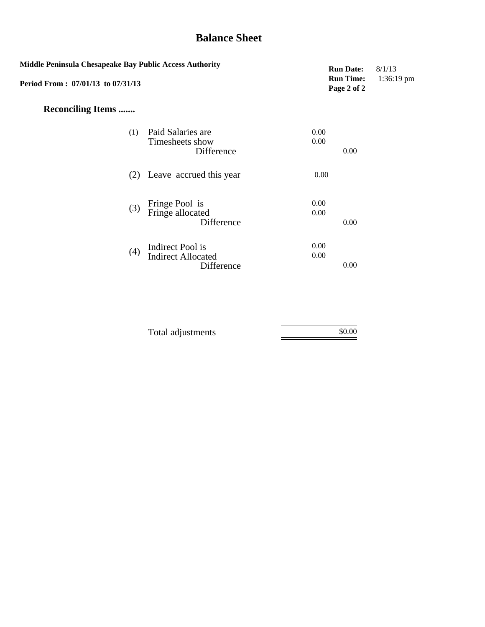## **Balance Sheet**

| Middle Peninsula Chesapeake Bay Public Access Authority<br>Period From: 07/01/13 to 07/31/13 |                                                             | <b>Run Date:</b><br><b>Run Time:</b><br>Page 2 of 2 | 8/1/13<br>1:36:19 pm |
|----------------------------------------------------------------------------------------------|-------------------------------------------------------------|-----------------------------------------------------|----------------------|
| <b>Reconciling Items </b>                                                                    |                                                             |                                                     |                      |
| (1)                                                                                          | Paid Salaries are<br>Timesheets show<br>Difference          | 0.00<br>0.00<br>0.00                                |                      |
|                                                                                              | (2) Leave accrued this year                                 | 0.00                                                |                      |
| (3)                                                                                          | Fringe Pool is<br>Fringe allocated<br>Difference            | 0.00<br>0.00<br>0.00                                |                      |
| (4)                                                                                          | Indirect Pool is<br><b>Indirect Allocated</b><br>Difference | 0.00<br>0.00<br>0.00                                |                      |

| Total adjustments | \$0.00 |
|-------------------|--------|
|                   |        |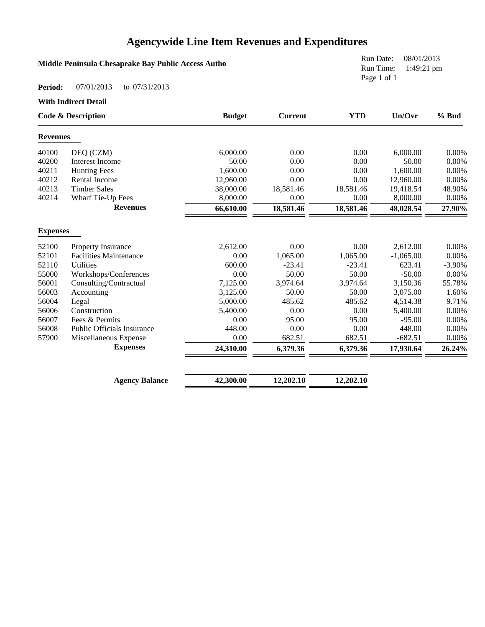## **Agencywide Line Item Revenues and Expenditures**

## **Middle Peninsula Chesapeake Bay Public Access Autho**

Run Date: 08/01/2013 Run Time: 1:49:21 pm Page 1 of 1

#### **Period:** 07/01/2013 to 07/31/2013

**With Indirect Detail**

|                 | <b>Code &amp; Description</b>     | <b>Budget</b> | <b>Current</b> | <b>YTD</b> | Un/Ovr      | % Bud    |
|-----------------|-----------------------------------|---------------|----------------|------------|-------------|----------|
| <b>Revenues</b> |                                   |               |                |            |             |          |
| 40100           | DEQ (CZM)                         | 6,000.00      | 0.00           | 0.00       | 6,000.00    | 0.00%    |
| 40200           | <b>Interest Income</b>            | 50.00         | 0.00           | 0.00       | 50.00       | 0.00%    |
| 40211           | <b>Hunting Fees</b>               | 1,600.00      | 0.00           | 0.00       | 1,600.00    | $0.00\%$ |
| 40212           | Rental Income                     | 12,960.00     | 0.00           | 0.00       | 12,960.00   | 0.00%    |
| 40213           | <b>Timber Sales</b>               | 38,000.00     | 18,581.46      | 18,581.46  | 19,418.54   | 48.90%   |
| 40214           | Wharf Tie-Up Fees                 | 8,000.00      | 0.00           | 0.00       | 8,000.00    | $0.00\%$ |
|                 | <b>Revenues</b>                   | 66,610.00     | 18,581.46      | 18,581.46  | 48,028.54   | 27.90%   |
| <b>Expenses</b> |                                   |               |                |            |             |          |
| 52100           | Property Insurance                | 2,612.00      | 0.00           | 0.00       | 2,612.00    | $0.00\%$ |
| 52101           | <b>Facilities Maintenance</b>     | 0.00          | 1,065.00       | 1,065.00   | $-1,065.00$ | 0.00%    |
| 52110           | <b>Utilities</b>                  | 600.00        | $-23.41$       | $-23.41$   | 623.41      | $-3.90%$ |
| 55000           | Workshops/Conferences             | 0.00          | 50.00          | 50.00      | $-50.00$    | 0.00%    |
| 56001           | Consulting/Contractual            | 7,125.00      | 3,974.64       | 3,974.64   | 3,150.36    | 55.78%   |
| 56003           | Accounting                        | 3,125.00      | 50.00          | 50.00      | 3,075.00    | 1.60%    |
| 56004           | Legal                             | 5,000.00      | 485.62         | 485.62     | 4,514.38    | 9.71%    |
| 56006           | Construction                      | 5,400.00      | 0.00           | 0.00       | 5,400.00    | $0.00\%$ |
| 56007           | Fees & Permits                    | 0.00          | 95.00          | 95.00      | $-95.00$    | 0.00%    |
| 56008           | <b>Public Officials Insurance</b> | 448.00        | 0.00           | 0.00       | 448.00      | $0.00\%$ |
| 57900           | Miscellaneous Expense             | 0.00          | 682.51         | 682.51     | $-682.51$   | 0.00%    |
|                 | <b>Expenses</b>                   | 24,310.00     | 6,379.36       | 6,379.36   | 17,930.64   | 26.24%   |
|                 |                                   |               |                |            |             |          |

| <b>Agency Balance</b> | 42,300.00 | 12,202.10 | 12,202.10 |
|-----------------------|-----------|-----------|-----------|
|                       |           |           |           |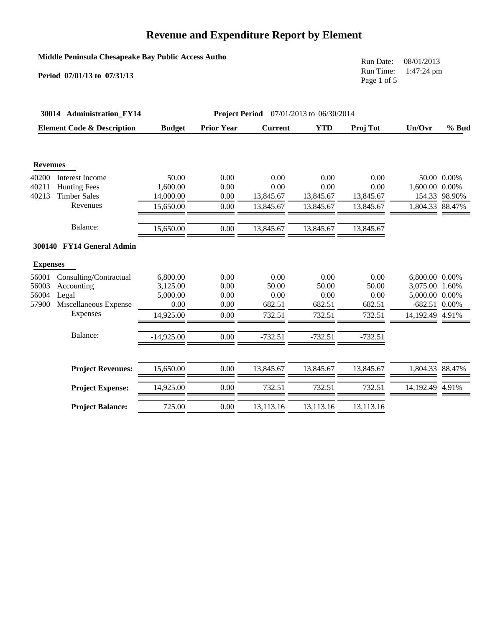## **Middle Peninsula Chesapeake Bay Public Access Autho**

**Period 07/01/13 to 07/31/13**

Run Date: 08/01/2013 Run Time: 1:47:24 pm Page 1 of 5

|                                  | 30014 Administration FY14                                              |                                          | <b>Project Period</b>        |                                 | 07/01/2013 to 06/30/2014        |                                 |                                                                       |                       |
|----------------------------------|------------------------------------------------------------------------|------------------------------------------|------------------------------|---------------------------------|---------------------------------|---------------------------------|-----------------------------------------------------------------------|-----------------------|
|                                  | <b>Element Code &amp; Description</b>                                  | <b>Budget</b>                            | <b>Prior Year</b>            | <b>Current</b>                  | <b>YTD</b>                      | Proj Tot                        | Un/Ovr                                                                | $%$ Bud               |
| <b>Revenues</b>                  |                                                                        |                                          |                              |                                 |                                 |                                 |                                                                       |                       |
| 40200<br>40211<br>40213          | <b>Interest Income</b><br><b>Hunting Fees</b><br><b>Timber Sales</b>   | 50.00<br>1,600.00<br>14,000.00           | 0.00<br>0.00<br>0.00         | 0.00<br>0.00<br>13,845.67       | 0.00<br>0.00<br>13,845.67       | 0.00<br>0.00<br>13,845.67       | 1,600.00 0.00%<br>154.33                                              | 50.00 0.00%<br>98.90% |
|                                  | Revenues                                                               | 15,650.00                                | 0.00                         | 13,845.67                       | 13,845.67                       | 13,845.67                       | 1,804.33 88.47%                                                       |                       |
|                                  | Balance:                                                               | 15,650.00                                | 0.00                         | 13,845.67                       | 13,845.67                       | 13,845.67                       |                                                                       |                       |
|                                  | 300140 FY14 General Admin                                              |                                          |                              |                                 |                                 |                                 |                                                                       |                       |
| <b>Expenses</b>                  |                                                                        |                                          |                              |                                 |                                 |                                 |                                                                       |                       |
| 56001<br>56003<br>56004<br>57900 | Consulting/Contractual<br>Accounting<br>Legal<br>Miscellaneous Expense | 6,800.00<br>3,125.00<br>5,000.00<br>0.00 | 0.00<br>0.00<br>0.00<br>0.00 | 0.00<br>50.00<br>0.00<br>682.51 | 0.00<br>50.00<br>0.00<br>682.51 | 0.00<br>50.00<br>0.00<br>682.51 | 6.800.00 0.00%<br>3,075.00 1.60%<br>5,000.00 0.00%<br>$-682.51$ 0.00% |                       |
|                                  | Expenses                                                               | 14,925.00                                | 0.00                         | 732.51                          | 732.51                          | 732.51                          | 14,192.49 4.91%                                                       |                       |
|                                  | Balance:                                                               | $-14,925.00$                             | 0.00                         | $-732.51$                       | $-732.51$                       | $-732.51$                       |                                                                       |                       |
|                                  | <b>Project Revenues:</b>                                               | 15,650.00                                | 0.00                         | 13,845.67                       | 13,845.67                       | 13,845.67                       | 1,804.33 88.47%                                                       |                       |
|                                  | <b>Project Expense:</b>                                                | 14,925.00                                | 0.00                         | 732.51                          | 732.51                          | 732.51                          | 14,192.49 4.91%                                                       |                       |
|                                  | <b>Project Balance:</b>                                                | 725.00                                   | 0.00                         | 13,113.16                       | 13,113.16                       | 13,113.16                       |                                                                       |                       |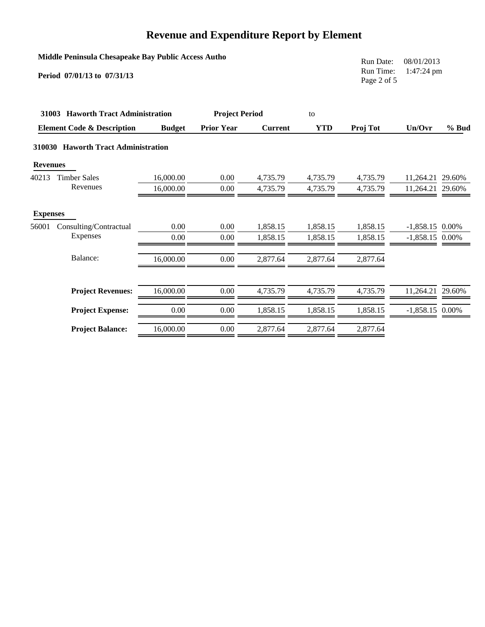|                 | Middle Peninsula Chesapeake Bay Public Access Autho<br>Period 07/01/13 to 07/31/13 |               |                       |                |            | Run Date:<br>Run Time:<br>Page 2 of 5 | 08/01/2013<br>$1:47:24 \text{ pm}$ |         |
|-----------------|------------------------------------------------------------------------------------|---------------|-----------------------|----------------|------------|---------------------------------------|------------------------------------|---------|
|                 | 31003 Haworth Tract Administration                                                 |               | <b>Project Period</b> |                | to         |                                       |                                    |         |
|                 | <b>Element Code &amp; Description</b>                                              | <b>Budget</b> | <b>Prior Year</b>     | <b>Current</b> | <b>YTD</b> | Proj Tot                              | Un/Ovr                             | $%$ Bud |
|                 | 310030 Haworth Tract Administration                                                |               |                       |                |            |                                       |                                    |         |
| <b>Revenues</b> |                                                                                    |               |                       |                |            |                                       |                                    |         |
| 40213           | <b>Timber Sales</b>                                                                | 16,000.00     | 0.00                  | 4,735.79       | 4,735.79   | 4,735.79                              | 11,264.21                          | 29.60%  |
|                 | Revenues                                                                           | 16,000.00     | 0.00                  | 4,735.79       | 4,735.79   | 4,735.79                              | 11,264.21 29.60%                   |         |
| <b>Expenses</b> |                                                                                    |               |                       |                |            |                                       |                                    |         |
| 56001           | Consulting/Contractual                                                             | 0.00          | 0.00                  | 1,858.15       | 1,858.15   | 1,858.15                              | $-1,858.15$ 0.00%                  |         |
|                 | Expenses                                                                           | 0.00          | 0.00                  | 1,858.15       | 1,858.15   | 1,858.15                              | $-1,858.15$ 0.00%                  |         |
|                 | Balance:                                                                           | 16,000.00     | 0.00                  | 2,877.64       | 2,877.64   | 2,877.64                              |                                    |         |
|                 | <b>Project Revenues:</b>                                                           | 16,000.00     | 0.00                  | 4,735.79       | 4,735.79   | 4,735.79                              | 11,264.21 29.60%                   |         |
|                 | <b>Project Expense:</b>                                                            | 0.00          | 0.00                  | 1,858.15       | 1,858.15   | 1,858.15                              | $-1,858.15$ 0.00%                  |         |
|                 | <b>Project Balance:</b>                                                            | 16,000.00     | 0.00                  | 2,877.64       | 2,877.64   | 2,877.64                              |                                    |         |
|                 |                                                                                    |               |                       |                |            |                                       |                                    |         |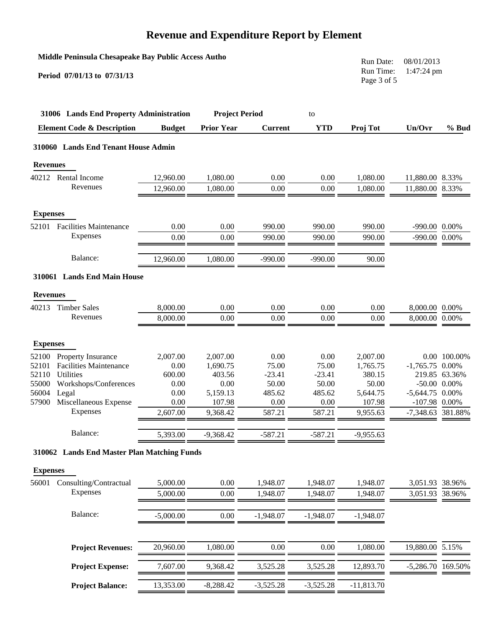|                 | Middle Peninsula Chesapeake Bay Public Access Autho<br>Period 07/01/13 to 07/31/13 |               |                       |                 |                 | Run Date:<br>Run Time:<br>Page 3 of 5 | 08/01/2013<br>1:47:24 pm |                   |
|-----------------|------------------------------------------------------------------------------------|---------------|-----------------------|-----------------|-----------------|---------------------------------------|--------------------------|-------------------|
|                 | 31006 Lands End Property Administration                                            |               | <b>Project Period</b> |                 | to              |                                       |                          |                   |
|                 | <b>Element Code &amp; Description</b>                                              | <b>Budget</b> | <b>Prior Year</b>     | <b>Current</b>  | <b>YTD</b>      | Proj Tot                              | Un/Ovr                   | $%$ Bud           |
|                 | 310060 Lands End Tenant House Admin                                                |               |                       |                 |                 |                                       |                          |                   |
| <b>Revenues</b> |                                                                                    |               |                       |                 |                 |                                       |                          |                   |
|                 | 40212 Rental Income                                                                | 12,960.00     | 1,080.00              | 0.00            | 0.00            | 1,080.00                              | 11,880.00 8.33%          |                   |
|                 | Revenues                                                                           | 12,960.00     | 1,080.00              | 0.00            | 0.00            | 1,080.00                              | 11,880.00                | 8.33%             |
| <b>Expenses</b> |                                                                                    |               |                       |                 |                 |                                       |                          |                   |
| 52101           | <b>Facilities Maintenance</b>                                                      | 0.00          | 0.00                  | 990.00          | 990.00          | 990.00                                | -990.00 0.00%            |                   |
|                 | Expenses                                                                           | 0.00          | 0.00                  | 990.00          | 990.00          | 990.00                                | -990.00 0.00%            |                   |
|                 | Balance:                                                                           | 12,960.00     | 1,080.00              | $-990.00$       | $-990.00$       | 90.00                                 |                          |                   |
|                 | 310061 Lands End Main House                                                        |               |                       |                 |                 |                                       |                          |                   |
| <b>Revenues</b> |                                                                                    |               |                       |                 |                 |                                       |                          |                   |
| 40213           | <b>Timber Sales</b>                                                                | 8,000.00      | 0.00                  | 0.00            | 0.00            | 0.00                                  | 8,000.00 0.00%           |                   |
|                 | Revenues                                                                           | 8,000.00      | 0.00                  | 0.00            | 0.00            | 0.00                                  | 8,000.00 0.00%           |                   |
| <b>Expenses</b> |                                                                                    |               |                       |                 |                 |                                       |                          |                   |
| 52100           | Property Insurance                                                                 | 2,007.00      | 2,007.00              | 0.00            | 0.00            | 2,007.00                              |                          | 0.00 100.00%      |
| 52101           | <b>Facilities Maintenance</b>                                                      | 0.00          | 1,690.75              | 75.00           | 75.00           | 1,765.75                              | $-1,765.75$ 0.00%        |                   |
| 52110           | Utilities                                                                          | 600.00        | 403.56                | $-23.41$        | $-23.41$        | 380.15                                |                          | 219.85 63.36%     |
| 55000<br>56004  | Workshops/Conferences<br>Legal                                                     | 0.00<br>0.00  | 0.00<br>5,159.13      | 50.00<br>485.62 | 50.00<br>485.62 | 50.00<br>5,644.75                     | $-5,644.75$ 0.00%        | $-50.00$ $0.00\%$ |
| 57900           | Miscellaneous Expense                                                              | 0.00          | 107.98                | 0.00            | 0.00            | 107.98                                | $-107.98$ 0.00%          |                   |
|                 | Expenses                                                                           | 2,607.00      | 9,368.42              | 587.21          | 587.21          | 9,955.63                              | -7,348.63 381.88%        |                   |
|                 | Balance:                                                                           | 5,393.00      | $-9,368.42$           | $-587.21$       | $-587.21$       | $-9,955.63$                           |                          |                   |
|                 | 310062 Lands End Master Plan Matching Funds                                        |               |                       |                 |                 |                                       |                          |                   |
| <b>Expenses</b> |                                                                                    |               |                       |                 |                 |                                       |                          |                   |
| 56001           | Consulting/Contractual                                                             | 5,000.00      | 0.00                  | 1,948.07        | 1,948.07        | 1,948.07                              | 3,051.93                 | 38.96%            |
|                 | Expenses                                                                           | 5,000.00      | 0.00                  | 1,948.07        | 1,948.07        | 1,948.07                              | 3,051.93                 | 38.96%            |
|                 | Balance:                                                                           | $-5,000.00$   | $0.00\,$              | $-1,948.07$     | $-1,948.07$     | $-1,948.07$                           |                          |                   |
|                 | <b>Project Revenues:</b>                                                           | 20,960.00     | 1,080.00              | 0.00            | 0.00            | 1,080.00                              | 19,880.00 5.15%          |                   |
|                 | <b>Project Expense:</b>                                                            | 7,607.00      | 9,368.42              | 3,525.28        | 3,525.28        | 12,893.70                             | -5,286.70 169.50%        |                   |
|                 | <b>Project Balance:</b>                                                            | 13,353.00     | $-8,288.42$           | $-3,525.28$     | $-3,525.28$     | $-11,813.70$                          |                          |                   |
|                 |                                                                                    |               |                       |                 |                 |                                       |                          |                   |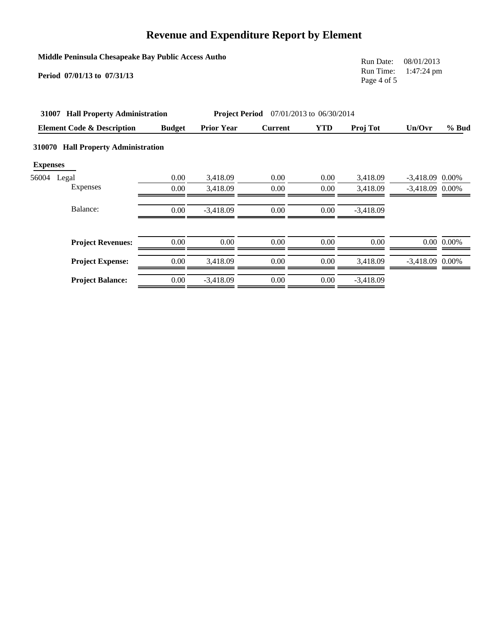|                           | Middle Peninsula Chesapeake Bay Public Access Autho<br>Period 07/01/13 to 07/31/13 |               |                   |                                                |            | Run Date:<br>Run Time:<br>Page 4 of 5 | 08/01/2013<br>1:47:24 pm |                |
|---------------------------|------------------------------------------------------------------------------------|---------------|-------------------|------------------------------------------------|------------|---------------------------------------|--------------------------|----------------|
|                           | 31007 Hall Property Administration                                                 |               |                   | <b>Project Period</b> 07/01/2013 to 06/30/2014 |            |                                       |                          |                |
|                           | <b>Element Code &amp; Description</b>                                              | <b>Budget</b> | <b>Prior Year</b> | <b>Current</b>                                 | <b>YTD</b> | <b>Proj Tot</b>                       | Un/Ovr                   | $%$ Bud        |
| 310070<br><b>Expenses</b> | <b>Hall Property Administration</b>                                                |               |                   |                                                |            |                                       |                          |                |
| 56004 Legal               |                                                                                    | 0.00          | 3,418.09          | 0.00                                           | 0.00       | 3,418.09                              | $-3,418.09$ 0.00%        |                |
|                           | Expenses                                                                           | 0.00          | 3,418.09          | 0.00                                           | 0.00       | 3,418.09                              | $-3,418.09$ 0.00%        |                |
|                           | Balance:                                                                           | 0.00          | $-3,418.09$       | 0.00                                           | 0.00       | $-3,418.09$                           |                          |                |
|                           | <b>Project Revenues:</b>                                                           | 0.00          | 0.00              | 0.00                                           | 0.00       | 0.00                                  |                          | $0.00\ 0.00\%$ |
|                           | <b>Project Expense:</b>                                                            | 0.00          | 3,418.09          | 0.00                                           | 0.00       | 3,418.09                              | $-3,418.09$ 0.00%        |                |
|                           | <b>Project Balance:</b>                                                            | 0.00          | $-3,418.09$       | 0.00                                           | 0.00       | $-3,418.09$                           |                          |                |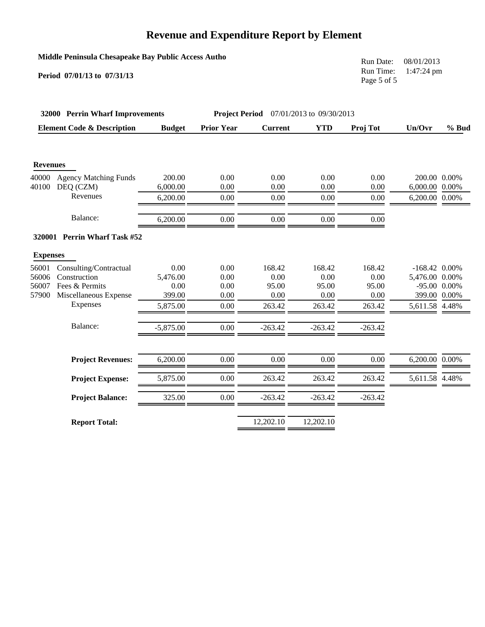## **Middle Peninsula Chesapeake Bay Public Access Autho**

**Period 07/01/13 to 07/31/13**

Run Date: 08/01/2013 Run Time: 1:47:24 pm Page 5 of 5

|                 | 32000 Perrin Wharf Improvements       |               |                   | <b>Project Period</b> 07/01/2013 to 09/30/2013 |            |           |                 |                   |
|-----------------|---------------------------------------|---------------|-------------------|------------------------------------------------|------------|-----------|-----------------|-------------------|
|                 | <b>Element Code &amp; Description</b> | <b>Budget</b> | <b>Prior Year</b> | <b>Current</b>                                 | <b>YTD</b> | Proj Tot  | Un/Ovr          | $%$ Bud           |
| <b>Revenues</b> |                                       |               |                   |                                                |            |           |                 |                   |
| 40000           | <b>Agency Matching Funds</b>          | 200.00        | 0.00              | 0.00                                           | 0.00       | 0.00      | 200.00 0.00%    |                   |
| 40100           | DEQ (CZM)                             | 6,000.00      | 0.00              | 0.00                                           | 0.00       | 0.00      | 6,000.00 0.00%  |                   |
|                 | Revenues                              | 6,200.00      | 0.00              | 0.00                                           | 0.00       | 0.00      | 6,200.00 0.00%  |                   |
|                 | Balance:                              | 6,200.00      | 0.00              | 0.00                                           | 0.00       | 0.00      |                 |                   |
|                 | 320001 Perrin Wharf Task #52          |               |                   |                                                |            |           |                 |                   |
| <b>Expenses</b> |                                       |               |                   |                                                |            |           |                 |                   |
| 56001           | Consulting/Contractual                | 0.00          | 0.00              | 168.42                                         | 168.42     | 168.42    | $-168.42$ 0.00% |                   |
| 56006           | Construction                          | 5,476.00      | 0.00              | 0.00                                           | 0.00       | 0.00      | 5,476.00 0.00%  |                   |
| 56007           | Fees & Permits                        | 0.00          | 0.00              | 95.00                                          | 95.00      | 95.00     |                 | $-95.00$ $0.00\%$ |
| 57900           | Miscellaneous Expense                 | 399.00        | 0.00              | 0.00                                           | 0.00       | 0.00      | 399.00 0.00%    |                   |
|                 | Expenses                              | 5,875.00      | 0.00              | 263.42                                         | 263.42     | 263.42    | 5,611.58 4.48%  |                   |
|                 | Balance:                              | $-5,875.00$   | 0.00              | $-263.42$                                      | $-263.42$  | $-263.42$ |                 |                   |
|                 | <b>Project Revenues:</b>              | 6,200.00      | 0.00              | 0.00                                           | 0.00       | 0.00      | 6,200.00 0.00%  |                   |
|                 | <b>Project Expense:</b>               | 5,875.00      | 0.00              | 263.42                                         | 263.42     | 263.42    | 5,611.58 4.48%  |                   |
|                 | <b>Project Balance:</b>               | 325.00        | 0.00              | $-263.42$                                      | $-263.42$  | $-263.42$ |                 |                   |
|                 | <b>Report Total:</b>                  |               |                   | 12,202.10                                      | 12,202.10  |           |                 |                   |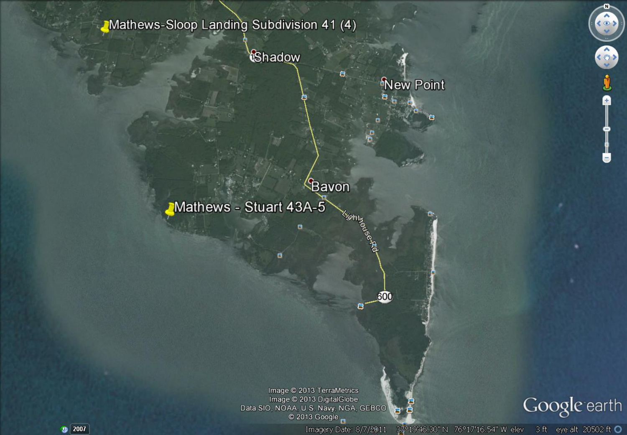## Mathews-Sloop Landing Subdivision 41 (4)

*<u>Chadow</u>* 

8.

Kights are

Я

600

88

# **<u>Bavon</u>** Mathews - Stuart 43A-5

ø

Image @ 2013 TerraMetrics Image © 2013 DigitalGlobe Data SIO, NOAA, U.S. Navy, NGA, GEBCO © 2013 Google

Imagery Date: 8/7/2011



37°19'46.30" N 76°17'16.54" W elev 3 ft eye alt 20502 ft O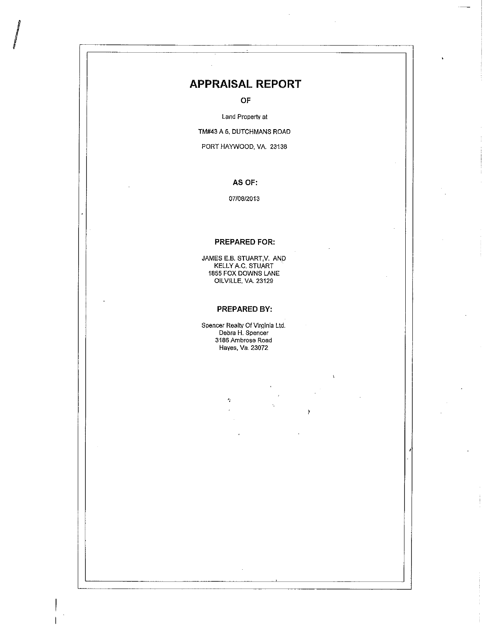## **APPRAISAL REPORT**

OF

Land Property at

TM#43 A 5, DUTCHMANS ROAD

PORT HAYWOOD, VA. 23138

#### AS OF:

07/08/2013

#### **PREPARED FOR:**

JAMES E.B. STUART, V. AND KELLY A.C. STUART 1855 FOX DOWNS LANE OILVILLE, VA. 23129

#### PREPARED BY:

Spencer Realty Of Virginia Ltd. Debra H. Spencer 3186 Ambrose Road Hayes, Va. 23072

 $\epsilon_{\rm i}$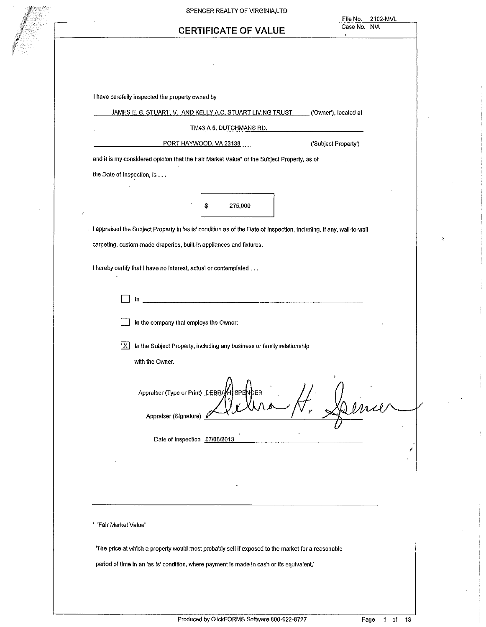| SPENCER REALTY OF VIRGINIA,LTD<br>2102-MVL<br>File No.                                                              |
|---------------------------------------------------------------------------------------------------------------------|
| Case No. N/A<br><b>CERTIFICATE OF VALUE</b><br>$\mathbf{1}$                                                         |
|                                                                                                                     |
|                                                                                                                     |
|                                                                                                                     |
| I have carefully inspected the property owned by                                                                    |
| JAMES E. B. STUART, V. AND KELLY A.C. STUART LIVING TRUST<br>('Owner'), located at                                  |
| <b>TM43 A 5, DUTCHMANS RD.</b>                                                                                      |
| PORT HAYWOOD, VA 23138<br>('Subject Property')                                                                      |
| and it is my considered opinion that the Fair Market Value* of the Subject Property, as of                          |
| the Date of Inspection, is                                                                                          |
|                                                                                                                     |
| 275,000<br>Ş                                                                                                        |
| I appraised the Subject Property in 'as is' condition as of the Date of Inspection, including, if any, wall-to-wall |
| carpeting, custom-made draperies, built-in appliances and fixtures.                                                 |
|                                                                                                                     |
| I hereby certify that I have no interest, actual or contemplated                                                    |
| In                                                                                                                  |
|                                                                                                                     |
| In the company that employs the Owner;                                                                              |
| In the Subject Property, including any business or family relationship<br><u>  X  </u>                              |
| with the Owner.                                                                                                     |
|                                                                                                                     |
| Appraiser (Type or Print) DEBRAH<br>SPEN-<br>CER                                                                    |
|                                                                                                                     |
| Appraiser (Signature)                                                                                               |
| Date of Inspection 07/08/2013                                                                                       |
|                                                                                                                     |
|                                                                                                                     |
|                                                                                                                     |
|                                                                                                                     |
| * 'Fair Market Value'                                                                                               |
|                                                                                                                     |
| 'The price at which a property would most probably sell if exposed to the market for a reasonable                   |
| period of time in an 'as is' condition, where payment is made in cash or its equivalent.'                           |
|                                                                                                                     |
|                                                                                                                     |

ŀ,  $\overline{\phantom{a}}$ 

 $\cdot$ 

 $\sim$ 

 $\ddot{\phantom{a}}$ 

 $\mathbf{1}$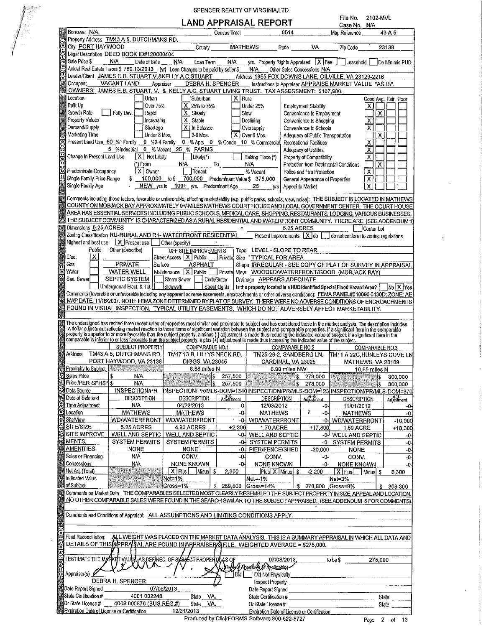|                                                                                                                                                                                                                                                    |                                                    |                  | LAND APPRAISAL REPORT                                                                               |                                                          | File No.                             | 2102-MVL                |                               |
|----------------------------------------------------------------------------------------------------------------------------------------------------------------------------------------------------------------------------------------------------|----------------------------------------------------|------------------|-----------------------------------------------------------------------------------------------------|----------------------------------------------------------|--------------------------------------|-------------------------|-------------------------------|
| Borrower N/A.                                                                                                                                                                                                                                      |                                                    | Census Tract     | 9514                                                                                                |                                                          | Case No. N/A<br>Map Reference        |                         | 43 A 5                        |
| Property Address TM43 A 5, DUTCHMANS RD.                                                                                                                                                                                                           |                                                    |                  |                                                                                                     |                                                          |                                      |                         |                               |
| City PORT HAYWOOD                                                                                                                                                                                                                                  | County                                             |                  | MATHEWS                                                                                             | State                                                    | VA Zip Code                          |                         | 23138                         |
| Legal Description DEED BOOK ID#120000404                                                                                                                                                                                                           |                                                    |                  |                                                                                                     |                                                          |                                      |                         |                               |
| Sale Price \$<br>N.A<br>Date of Sale                                                                                                                                                                                                               | N/A<br>Loan Term                                   | N/A              | yrs. Property Rights Appraised   X   Fee   Leasehold                                                |                                                          |                                      |                         | De Minimis PUD                |
| Actual Real Estate Taxes \$ 789.13/2013 (yr) Loan Charges to be paid by seller \$                                                                                                                                                                  |                                                    |                  | N/A Other Sales Concessions N/A                                                                     |                                                          |                                      |                         |                               |
| Lender/Client JAMES E.B. STUART, V.&KELLY A.C.STUART                                                                                                                                                                                               |                                                    |                  | Address 1855 FOX DOWNS LANE, OILVILLE, VA 23129-2216                                                |                                                          |                                      |                         |                               |
| Occupant<br>VACANT LAND<br>Aporaiser                                                                                                                                                                                                               | DEBRA H. SPENCER                                   |                  |                                                                                                     | Instructions to Appraiser APPRAISE MARKET VALUE "AS IS". |                                      |                         |                               |
| OWNERS: JAMES E.B. STUART, V. & KELLY A.C. STUART LIVING TRUST. TAX ASSESSMENT: \$167,900.<br>Location                                                                                                                                             |                                                    |                  |                                                                                                     |                                                          |                                      |                         |                               |
| Urban<br>Built Up<br>Over 75%                                                                                                                                                                                                                      | İ Suburban<br>X 25% to 75%                         | x.               | Rural                                                                                               |                                                          |                                      |                         | Good Avg. Fair Poor           |
| Growth Rate<br>Fully Dev.<br>Rapid                                                                                                                                                                                                                 | $X$ Steady                                         |                  | Under 25%<br>Slow                                                                                   | Employment Stability<br>Convenience to Employment        |                                      | $\times$<br>x           |                               |
| Property Values<br>Increasing                                                                                                                                                                                                                      | X   Stable                                         |                  | Declining                                                                                           | Convenience to Shopping                                  |                                      | x                       |                               |
| Demand/Supply<br>Shortage                                                                                                                                                                                                                          | X   In Balance                                     |                  | Oversupply                                                                                          | Convenience to Schools                                   |                                      | $\overline{\mathsf{x}}$ |                               |
| Marketing Time<br>Under 3 Mos                                                                                                                                                                                                                      | 13-6 Mos.                                          |                  | $\overline{X}$ Over 6 Mos.                                                                          | Adequacy of Public Transportation                        |                                      | x                       |                               |
| Present Land Use_60_%1 Family _0_%2-4 Family _0_% Apts _0_% Condo _10_% Commercial                                                                                                                                                                 |                                                    |                  |                                                                                                     | Recreational Facilities                                  |                                      | $\overline{\mathsf{x}}$ |                               |
| 5 %Industrial 0 % Vacant 25 % FARMS                                                                                                                                                                                                                |                                                    |                  |                                                                                                     | Adequacy of Utilities                                    |                                      | $\overline{\mathsf{x}}$ |                               |
| Change In Present Land Use<br>$X$ Not Likely                                                                                                                                                                                                       | $\Box$ Likely(*)                                   |                  | Taking Place (*)                                                                                    | Property of Compatibility                                |                                      | $\overline{\mathsf{x}}$ |                               |
| $(*)$ From                                                                                                                                                                                                                                         | N/A                                                | $\mathbf{I}$ o   | N/A                                                                                                 | Protection from Detrimental Conditions                   |                                      | $\overline{\mathsf{x}}$ |                               |
| $X$ Owner<br>Predominate Occupancy                                                                                                                                                                                                                 | Tenant                                             |                  | % Vacant                                                                                            | Police and Fire Protection                               |                                      | $\overline{\mathsf{x}}$ |                               |
| Single Family Price Range<br>$\mathsf{s}$                                                                                                                                                                                                          | 100,000 to \$ 700,000 Predominant Value \$ 375,000 |                  |                                                                                                     | General Appearance of Properties                         |                                      | $\overline{\mathsf{x}}$ |                               |
| Single Family Age                                                                                                                                                                                                                                  | NEW yrsito 100+ yrs. Predominant Age               |                  | 25<br>YfS                                                                                           | Appeal to Market                                         |                                      | $\overline{\mathsf{x}}$ |                               |
| Comments including those factors, favorable or unfavorable, affecting marketability (e.g. public parks, schools, view, nolse): THE SUBJECT IS LOCATED IN MATHEWS                                                                                   |                                                    |                  |                                                                                                     |                                                          |                                      |                         |                               |
| COUNTY ON MOBJACK BAY APPROXIMATELY 9+/-MILES MATHEWS COURT HOUSE AND LOCAL GOVERNMENT CENTER. THE COURT HOUSE                                                                                                                                     |                                                    |                  |                                                                                                     |                                                          |                                      |                         |                               |
| AREA HAS ESSENTIAL SERVICES INCLUDING PUBLIC SCHOOLS, MEDICAL CARE, SHOPPING, RESTAURANTS, LODGING, VARIOUS BUSINESSES.                                                                                                                            |                                                    |                  |                                                                                                     |                                                          |                                      |                         |                               |
| THE SUBJECT COMMUNITY IS CHARACTERIZED AS A RURAL RESIDENTIAL AND WATERFRONT COMMUNITY. THERE ARE (SEE ADDENDUM 1)                                                                                                                                 |                                                    |                  |                                                                                                     |                                                          |                                      |                         |                               |
| Dimensions 5.25 ACRES                                                                                                                                                                                                                              |                                                    |                  |                                                                                                     | <b>5 25 ACRES</b>                                        |                                      | Corner Lot              |                               |
| Zoning Classification RU-RURAL AND R1- WATERFRONT RESIDENTIAL                                                                                                                                                                                      |                                                    |                  | Present Improvements   X do                                                                         |                                                          | do not conform to zoning regulations |                         |                               |
| Highest and best use $\boxed{X}$ Present use [<br>Other (specify)                                                                                                                                                                                  |                                                    |                  |                                                                                                     |                                                          |                                      |                         |                               |
| Public<br>Other (Describe)<br>x<br>Elec.                                                                                                                                                                                                           | OFF SITE IMPROVEMENTS                              |                  | Topo LEVEL - SLOPE TO REAR<br>Street Access   X   Public     Private Size TYPICAL FOR AREA          |                                                          |                                      |                         |                               |
| Gas<br>PRIVATE<br>Surface                                                                                                                                                                                                                          | ASPHALT                                            |                  | Shape IRREGULAR - SEE COPY OF PLAT OF SURVEY IN APPRAISAL                                           |                                                          |                                      |                         |                               |
| Water<br>WATER WELL                                                                                                                                                                                                                                |                                                    |                  | Maintenance X Public Private View WOODED/WATERFRONT/GOOD (MOBJACK BAY)                              |                                                          |                                      |                         |                               |
| SEPTIC SYSTEM<br>San. Sewer                                                                                                                                                                                                                        | Storm Sewer<br>Curb/Gutter                         |                  | Drainage APPEARS ADEQUATE                                                                           |                                                          |                                      |                         |                               |
| Underground Elect & Tel.<br>Sidewalk                                                                                                                                                                                                               |                                                    |                  | Street Lights   is the property located in a HUD identified Special Flood Hazard Area? [ No X   Yes |                                                          |                                      |                         |                               |
| Comments (favorable or unfavorable including any apparent adverse easements, encroachments or other adverse conditions): FEMA PANEL#510096 0130D; ZONE: AE                                                                                         |                                                    |                  |                                                                                                     |                                                          |                                      |                         |                               |
| MAP DATE: 11/16/2007. NOTE: FEMA ZONE DETERMINED BY PLAT OF SURVEY. THERE WERE NO ADVERSE CONDITIONS OF ENCROACHMENTS                                                                                                                              |                                                    |                  |                                                                                                     |                                                          |                                      |                         |                               |
| FOUND IN VISUAL INSPECTION. TYPICAL UTILITY EASEMENTS, WHICH DO NOT ADVERSELY AFFECT MARKETABILITY.                                                                                                                                                |                                                    |                  |                                                                                                     |                                                          |                                      |                         |                               |
|                                                                                                                                                                                                                                                    |                                                    |                  |                                                                                                     |                                                          |                                      |                         |                               |
| The undersigned has recited three recent sales of properties most similar and proximate to subject and has considered these in the market analysis. The description includes a dollar adjustment reflecting market reaction to<br>SUBJECT PROPERTY | COMPARABLE NO.1                                    |                  |                                                                                                     | COMPARABLE NO.2                                          |                                      | COMPARABLE NO.3         |                               |
| Address<br>TM43 A 5, DUTCHMANS RD.                                                                                                                                                                                                                 | TM17 13 B, LILLYS NECK RD.                         |                  |                                                                                                     | TM25-28-2, SANDBERG LN.                                  | TM11 A 22C,HUNLEYS COVE LN           |                         |                               |
| PORT HAYWOOD, VA 23138                                                                                                                                                                                                                             | DIGGS, VA 23045                                    |                  | CARDINAL, VA 23025                                                                                  |                                                          | MATHEWS, VA 23109                    |                         |                               |
| Proximity to Subject                                                                                                                                                                                                                               | 8.88 miles N                                       |                  |                                                                                                     | 6.90 miles NW                                            |                                      | 10.85 miles N           |                               |
| Sales Price<br>T<br>\$<br>N/A                                                                                                                                                                                                                      | S                                                  | 257,500          |                                                                                                     | 273,000<br>\$                                            | ¥,                                   |                         | 300,000                       |
| Price /PER SFHS* S<br>N/A                                                                                                                                                                                                                          |                                                    | 257,500          |                                                                                                     | 273,000                                                  |                                      |                         | 300,000                       |
| Data Source<br><b>INSPECTION/PR</b>                                                                                                                                                                                                                |                                                    |                  | INSPECTION/PR/MLS-DOM=1340 INSPECTION/PR/MLS-DOM=123 INSPECTION/PR/MLS-DOM=370                      |                                                          |                                      |                         |                               |
| Date of Sale and<br><b>DESCRIPTION</b><br>Time Adjustment<br>ΝA                                                                                                                                                                                    | DESCRIPTION<br>04/22/2013                          | Advstment<br>-0- | <b>DESCRIPTION</b><br>12/03/2012                                                                    | Adjustment<br>-0-                                        | DESCRIPTION                          |                         | Adjustment                    |
| Location<br><b>MATHEWS</b>                                                                                                                                                                                                                         | <b>MATHEWS</b>                                     | $-0-$            | <b>MATHEWS</b>                                                                                      | y<br>-0-                                                 | 11/01/2012<br><b>MATHEWS</b>         |                         | -0                            |
| Site/View<br><b>WD/WATERFRONT</b>                                                                                                                                                                                                                  | <b>WD/WATERFRONT</b>                               | -04              | <b>WD/WATERFRONT</b>                                                                                |                                                          | -0- WD/WATERFRONT                    |                         |                               |
| <b>SITE/SIZE</b><br><b>5.25 ACRES</b>                                                                                                                                                                                                              | 4.80 ACRES                                         | $+2,300$         | 1.70 ACRE                                                                                           | $+17,800$                                                | <b>1.59 ACRE</b>                     |                         | -0-<br>$-10,000$<br>$+18,300$ |
| SITE IMPROVE-<br><b>WELL AND SEPTIC</b>                                                                                                                                                                                                            | <b>WELL AND SEPTIC</b>                             | -01              | <b>WELL AND SEPTIC</b>                                                                              | -0-                                                      | <b>WELL AND SEPTIC</b>               |                         |                               |
| MENTS.<br><b>SYSTEM PERMITS</b>                                                                                                                                                                                                                    | <b>SYSTEM PERMITS</b>                              | -04              | <b>SYSTEM PERMITS</b>                                                                               | -0-                                                      | <b>SYSTEM PERMITS</b>                |                         | -0-<br>-0-                    |
| <b>AMENITIES</b><br><b>NONE</b>                                                                                                                                                                                                                    | <b>NONE</b>                                        | -04              | <b>PIER/FENCE/SHED</b>                                                                              | $-20,000$                                                | <b>NONE</b>                          |                         |                               |
| Sales or Financing<br>N/A                                                                                                                                                                                                                          | CONV.                                              | -0-              | CONV.                                                                                               | -0-                                                      | CONV.                                |                         | -0<br>$-0$                    |
| Concessions<br>N.A                                                                                                                                                                                                                                 | <b>NONE KNOWN</b>                                  | -04              | <b>NONE KNOWN</b>                                                                                   | -0-                                                      | <b>NONE KNOWN</b>                    |                         | -0-                           |
| Net Adj. (Total)                                                                                                                                                                                                                                   | X   Plus  <br> Minus <br>-5                        | 2.300            | Plus X Minus \$                                                                                     | $-2,200$                                                 | X Plus                               | Minus  S                | 8,300                         |
| Indicated Value<br>Net≂1%<br>of Subject                                                                                                                                                                                                            |                                                    |                  | Net=-1%                                                                                             |                                                          | Net=3%                               |                         |                               |
| Gross=1%                                                                                                                                                                                                                                           |                                                    |                  | \$ 259,800 Gross=14%                                                                                | s.                                                       | 270,800 Gross=9%                     | S                       | 308,300                       |
| Comments on Market Data THE COMPARABLES SELECTED MOST CLEARLY RESEMBLED THE SUBJECT PROPERTY IN SIZE, APPEAL AND LOCATION.<br>NO OTHER COMPARABLE SALES WERE FOUND IN THE SEARCH SIMILAR TO THE SUBJECT APPRAISED. (SEE ADDENDUM 5 FOR COMMENTS)   |                                                    |                  |                                                                                                     |                                                          |                                      |                         |                               |
|                                                                                                                                                                                                                                                    |                                                    |                  |                                                                                                     |                                                          |                                      |                         |                               |
| Comments and Conditions of Appraisal: ALL ASSUMPTIONS AND LIMITING CONDITIONS APPLY.                                                                                                                                                               |                                                    |                  |                                                                                                     |                                                          |                                      |                         |                               |
|                                                                                                                                                                                                                                                    |                                                    |                  |                                                                                                     |                                                          |                                      |                         |                               |
|                                                                                                                                                                                                                                                    |                                                    |                  |                                                                                                     |                                                          |                                      |                         |                               |
| ALL WEIGHT WAS PLACED ON THE MARKET DATA ANALYSIS. THIS IS A SUMMARY APPRAISAL IN WHICH ALL DATA AND<br>Final Reconciliation:                                                                                                                      |                                                    |                  |                                                                                                     |                                                          |                                      |                         |                               |
| DETAILS OF THIS APPRAISAL ARE FOUND IN APPRAISER SFILE. WEIGHTED AVERAGE = \$275,000.                                                                                                                                                              |                                                    |                  |                                                                                                     |                                                          |                                      |                         |                               |
|                                                                                                                                                                                                                                                    |                                                    |                  |                                                                                                     |                                                          |                                      |                         |                               |
| I ESTIMATE THE MARKET VALVE AS DEFINED, OF SYBLECT PROPERTY                                                                                                                                                                                        |                                                    | AS OF            | 07/08/2013                                                                                          |                                                          | to be \$                             | 275,000                 |                               |
| (e\aj                                                                                                                                                                                                                                              |                                                    |                  | Reliev Aperase (11 applicable)                                                                      |                                                          |                                      |                         |                               |
| Appraiser(s)                                                                                                                                                                                                                                       |                                                    | Did              | Did Not Physically                                                                                  |                                                          |                                      |                         |                               |
| DEBRA H. SPENCER<br>Date Report Signed                                                                                                                                                                                                             |                                                    |                  | Inspect Property                                                                                    |                                                          |                                      |                         |                               |
| 07/08/2013<br>State Certification #<br>4001 002248                                                                                                                                                                                                 |                                                    |                  | Date Report Signed                                                                                  |                                                          |                                      |                         |                               |
| Or State License #<br>4008 000876 (BUS.REG.#)                                                                                                                                                                                                      | State VA.<br>State VA.                             |                  | State Certification #<br>Or State License #                                                         |                                                          |                                      |                         | State                         |
| Expiration Date of License or Certification                                                                                                                                                                                                        | 12/31/2013                                         |                  | Expiration Date of License or Certification<br>Produced by ClickFORMS Software 800-622-8727         |                                                          |                                      |                         | State                         |

SPENCER REALTY OF VIRGINIA, LTD

 $\frac{d}{dt}$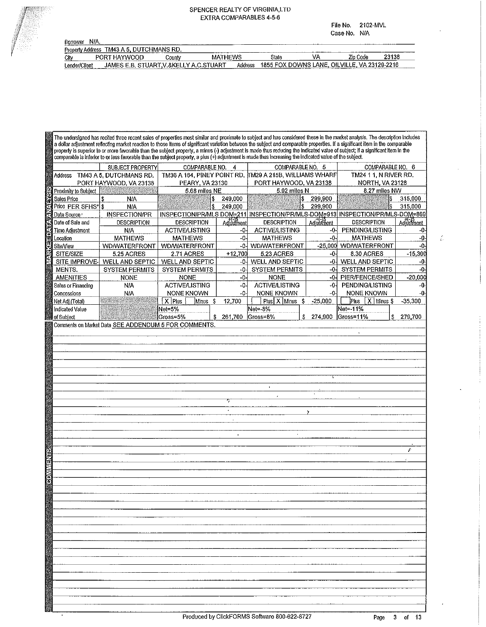#### SPENCER REALTY OF VIRGINIA LTD EXTRA COMPARABLES 4-5-6

File No. 2102-MVL Case No. N/A

| NIA.<br>Borrower                         |                   |          |                        |       |                                |          |                             |
|------------------------------------------|-------------------|----------|------------------------|-------|--------------------------------|----------|-----------------------------|
| Property Address TM43 A 5, DUTCHMANS RD. |                   |          |                        |       |                                |          |                             |
| City                                     | 1HAYMMOOD<br>PORT | County   | <b>MATHEWS</b>         | State | VI                             | Zio Code | 23138                       |
| Lender/Client                            | JAMES E.B.        | '.&KELL' | Address<br>. C. STHAPT |       | 1855 FOX DOWNS LANE, OILVILLE, |          | VA 23129-2216<br>---------- |

The undersigned has recited three recent sales of properties most similar and proximate to subject and has considered these in the market analysis. The description includes a dollar adjustment reflecting market reaction to those items of significant variation between the subject and comparable properties. If a significant item in the comparable property is superior to or more favorable than the subject property, a minus (-) adjustment is made thus reducing the indicated value of subject; if a significant item in the comparable is inferior to or less favorable than the subject property, a plus (+) adjustment is made thus increasing the indicated value of the subject. SUBJECT PROPERTY COMPARABLE NO. 4 COMPARABLE NO. 5 COMPARABLE NO. 6 TM36 A 164, PINEY POINT RD. M29 A 215B, WILLIAMS WHARF Address TM43 A 5, DUTCHMANS RD. TM24 1 1, N RIVER RD. PORT HAYWOOD, VA 23138 **PEARY, VA 23130** PORT HAYWOOD, VA 23138 **NORTH, VA 23128** 5.68 miles NE 5.92 miles N 8.27 miles NW Proximity to Subject 249,000 299,900 315,000 Sales Price N/A ls. İ\$. Price PER SFHS\* 249,000 299.900 315,000 N/A 1\$ **INSPECTION/PR** INSPECTION/PR/MLS DOM=211 INSPECTION/PR/MLS-DOM=913 INSPECTION/PR/MLS-DOM=869 Data Source: Date of Sale and **DESCRIPTION DESCRIPTION** دr-)\*<br>Adjustment **DESCRIPTION** Adjustment **DESCRIPTION** Adjustment **Time Adjustment ACTIVE/LISTING ACTIVE/LISTING PENDING/LISTING**  $-0$ N/A  $-0$  $\overline{0}$ Location **MATHEWS MATHEWS**  $-0$ **MATHEWS** -0 **MATHEWS** -0 **WD/WATERFRONT WD/WATERFRONT** -0-**WD/WATERFRONT** -25,000 WD/WATERFRONT -0 Site/View SITE/SIZE  $+12,700$ 5.23 ACRES 8.30 ACRES  $-15,300$ 5.25 ACRES 2.71 ACRES -0 SITE IMPROVE **WELL AND SEPTIC WELL AND SEPTIC** -0 WELL AND SEPTIC WELL AND SEPTIC  $-0<sub>1</sub>$ -0 MENTS. **SYSTEM PERMITS SYSTEM PERMITS**  $-0-$ **SYSTEM PERMITS** -0-**SYSTEM PERMITS**  $-0$  $-20,000$ **AMENITIES NONE NONE** -0 **NONE** -0-**PIER/FENCE/SHED ACTIVE/LISTING ACTIVE/LISTING** -0-**PENDING/LISTING**  $-0$ N/A  $-0$ Sales or Financing NONE KNOWN NONE KNOWN NONE KNOWN Concessions N/A  $-0 -0 -9$  $Plus$   $\overline{X}$  Minus \$ Net Adj.(Total)  $\overline{X}$  Plus 12,700  $\log X$  Minus  $-25,000$  $-35,300$ Minus  ${\mathbb S}$ \$ Indicated Value Net=5% Net=-8% Net=-11% 274.900 of Subject Gross=5% 261,700 Gross=8% Gross=11% 279,700 Comments on Market Data SEE ADDENDUM 5 FOR COMMENTS.

ź.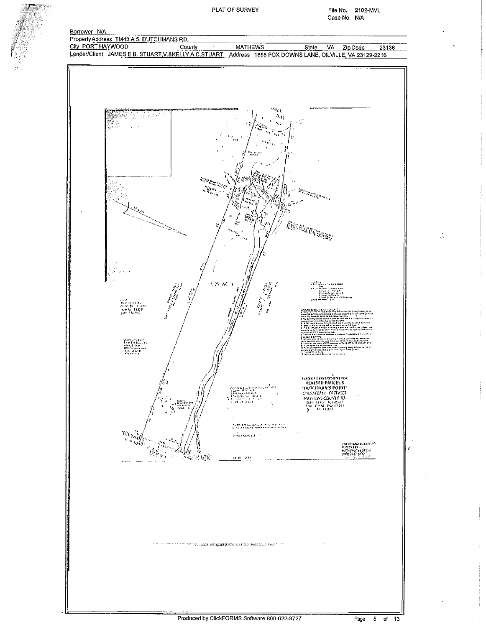PLAT OF SURVEY

File No. 2102-MVL Case No. N/A

 $\hat{\psi}$ 



Produced by ClickFORMS Software 800-622-8727

 $5$  of 13 Page